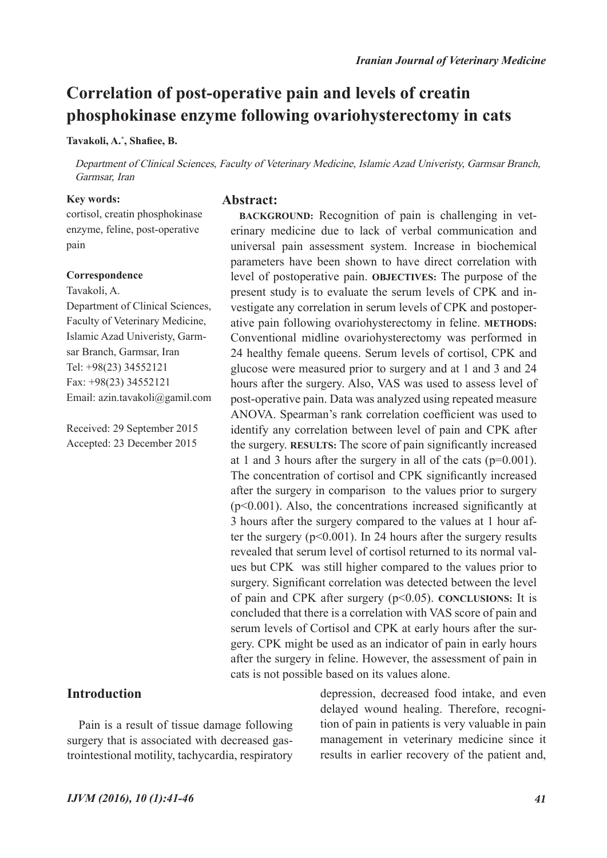# **Correlation of post-operative pain and levels of creatin phosphokinase enzyme following ovariohysterectomy in cats**

**Tavakoli, A.\* , Shafiee, B.**

Department of Clinical Sciences, Faculty of Veterinary Medicine, Islamic Azad Univeristy, Garmsar Branch, Garmsar, Iran

> **BACKGROUND:** Recognition of pain is challenging in veterinary medicine due to lack of verbal communication and universal pain assessment system. Increase in biochemical parameters have been shown to have direct correlation with level of postoperative pain. **OBJECTIVES:** The purpose of the present study is to evaluate the serum levels of CPK and investigate any correlation in serum levels of CPK and postoperative pain following ovariohysterectomy in feline. **METHODS:**  Conventional midline ovariohysterectomy was performed in 24 healthy female queens. Serum levels of cortisol, CPK and glucose were measured prior to surgery and at 1 and 3 and 24 hours after the surgery. Also, VAS was used to assess level of post-operative pain. Data was analyzed using repeated measure ANOVA. Spearman's rank correlation coefficient was used to identify any correlation between level of pain and CPK after the surgery. **RESULTS:** The score of pain significantly increased at 1 and 3 hours after the surgery in all of the cats (p=0.001). The concentration of cortisol and CPK significantly increased after the surgery in comparison to the values prior to surgery (p<0.001). Also, the concentrations increased significantly at 3 hours after the surgery compared to the values at 1 hour after the surgery  $(p<0.001)$ . In 24 hours after the surgery results revealed that serum level of cortisol returned to its normal values but CPK was still higher compared to the values prior to surgery. Significant correlation was detected between the level of pain and CPK after surgery (p<0.05). **CONCLUSIONS:** It is concluded that there is a correlation with VAS score of pain and serum levels of Cortisol and CPK at early hours after the surgery. CPK might be used as an indicator of pain in early hours after the surgery in feline. However, the assessment of pain in

#### **Key words:**

cortisol, creatin phosphokinase enzyme, feline, post-operative pain

## **Correspondence**

Tavakoli, A. Department of Clinical Sciences, Faculty of Veterinary Medicine, Islamic Azad Univeristy, Garmsar Branch, Garmsar, Iran Tel: +98(23) 34552121 Fax: +98(23) 34552121 Email: azin.tavakoli@gamil.com

Received: 29 September 2015 Accepted: 23 December 2015

# **Introduction**

Pain is a result of tissue damage following surgery that is associated with decreased gastrointestional motility, tachycardia, respiratory depression, decreased food intake, and even delayed wound healing. Therefore, recognition of pain in patients is very valuable in pain management in veterinary medicine since it results in earlier recovery of the patient and,

cats is not possible based on its values alone.

## **Abstract:**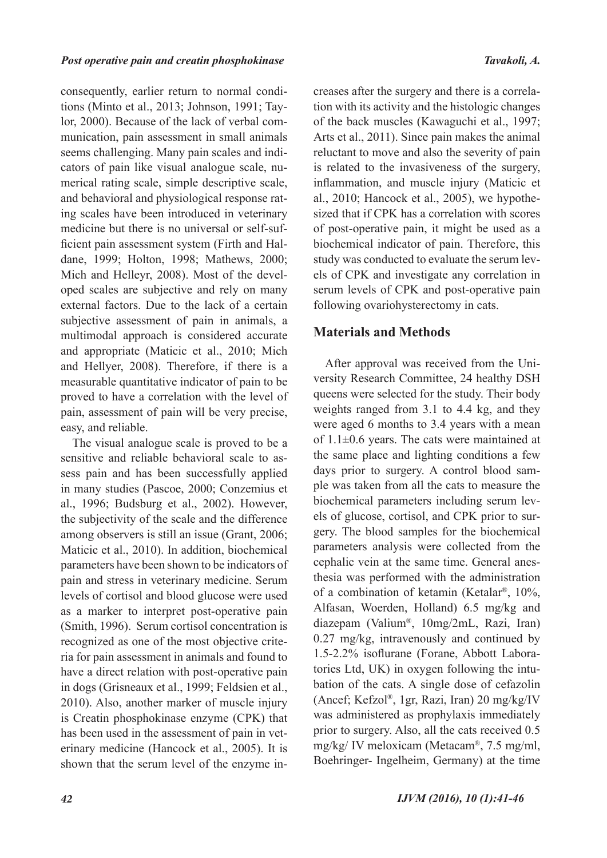consequently, earlier return to normal conditions (Minto et al., 2013; Johnson, 1991; Taylor, 2000). Because of the lack of verbal communication, pain assessment in small animals seems challenging. Many pain scales and indicators of pain like visual analogue scale, numerical rating scale, simple descriptive scale, and behavioral and physiological response rating scales have been introduced in veterinary medicine but there is no universal or self-sufficient pain assessment system (Firth and Haldane, 1999; Holton, 1998; Mathews, 2000; Mich and Helleyr, 2008). Most of the developed scales are subjective and rely on many external factors. Due to the lack of a certain subjective assessment of pain in animals, a multimodal approach is considered accurate and appropriate (Maticic et al., 2010; Mich and Hellyer, 2008). Therefore, if there is a measurable quantitative indicator of pain to be proved to have a correlation with the level of pain, assessment of pain will be very precise, easy, and reliable.

The visual analogue scale is proved to be a sensitive and reliable behavioral scale to assess pain and has been successfully applied in many studies (Pascoe, 2000; Conzemius et al., 1996; Budsburg et al., 2002). However, the subjectivity of the scale and the difference among observers is still an issue (Grant, 2006; Maticic et al., 2010). In addition, biochemical parameters have been shown to be indicators of pain and stress in veterinary medicine. Serum levels of cortisol and blood glucose were used as a marker to interpret post-operative pain (Smith, 1996). Serum cortisol concentration is recognized as one of the most objective criteria for pain assessment in animals and found to have a direct relation with post-operative pain in dogs (Grisneaux et al., 1999; Feldsien et al., 2010). Also, another marker of muscle injury is Creatin phosphokinase enzyme (CPK) that has been used in the assessment of pain in veterinary medicine (Hancock et al., 2005). It is shown that the serum level of the enzyme increases after the surgery and there is a correlation with its activity and the histologic changes of the back muscles (Kawaguchi et al., 1997; Arts et al., 2011). Since pain makes the animal reluctant to move and also the severity of pain is related to the invasiveness of the surgery, inflammation, and muscle injury (Maticic et al., 2010; Hancock et al., 2005), we hypothesized that if CPK has a correlation with scores of post-operative pain, it might be used as a biochemical indicator of pain. Therefore, this study was conducted to evaluate the serum levels of CPK and investigate any correlation in serum levels of CPK and post-operative pain following ovariohysterectomy in cats.

# **Materials and Methods**

After approval was received from the University Research Committee, 24 healthy DSH queens were selected for the study. Their body weights ranged from 3.1 to 4.4 kg, and they were aged 6 months to 3.4 years with a mean of 1.1±0.6 years. The cats were maintained at the same place and lighting conditions a few days prior to surgery. A control blood sample was taken from all the cats to measure the biochemical parameters including serum levels of glucose, cortisol, and CPK prior to surgery. The blood samples for the biochemical parameters analysis were collected from the cephalic vein at the same time. General anesthesia was performed with the administration of a combination of ketamin (Ketalar®, 10%, Alfasan, Woerden, Holland) 6.5 mg/kg and diazepam (Valium®, 10mg/2mL, Razi, Iran) 0.27 mg/kg, intravenously and continued by 1.5-2.2% isoflurane (Forane, Abbott Laboratories Ltd, UK) in oxygen following the intubation of the cats. A single dose of cefazolin (Ancef; Kefzol®, 1gr, Razi, Iran) 20 mg/kg/IV was administered as prophylaxis immediately prior to surgery. Also, all the cats received 0.5 mg/kg/ IV meloxicam (Metacam®, 7.5 mg/ml, Boehringer- Ingelheim, Germany) at the time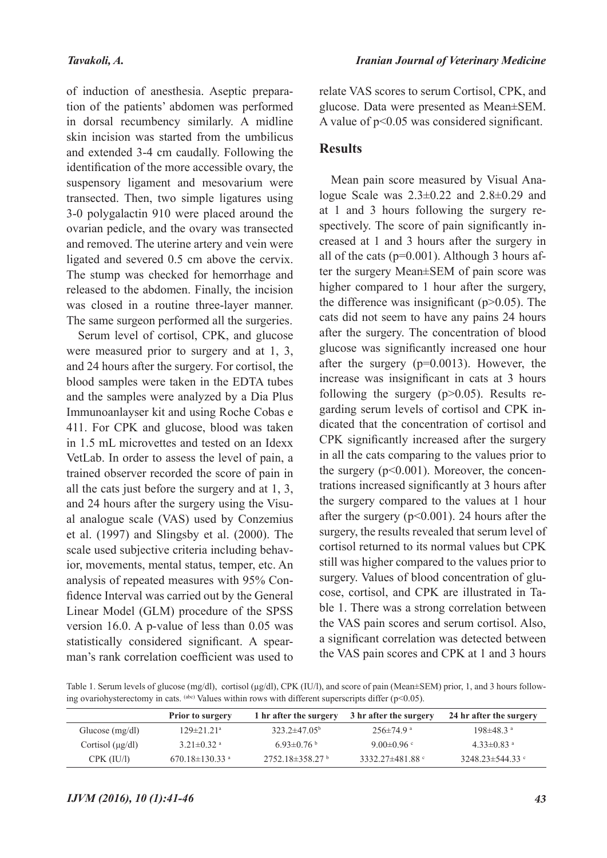of induction of anesthesia. Aseptic preparation of the patients' abdomen was performed in dorsal recumbency similarly. A midline skin incision was started from the umbilicus and extended 3-4 cm caudally. Following the identification of the more accessible ovary, the suspensory ligament and mesovarium were transected. Then, two simple ligatures using 3-0 polygalactin 910 were placed around the ovarian pedicle, and the ovary was transected and removed. The uterine artery and vein were ligated and severed 0.5 cm above the cervix. The stump was checked for hemorrhage and released to the abdomen. Finally, the incision was closed in a routine three-layer manner. The same surgeon performed all the surgeries.

Serum level of cortisol, CPK, and glucose were measured prior to surgery and at 1, 3, and 24 hours after the surgery. For cortisol, the blood samples were taken in the EDTA tubes and the samples were analyzed by a Dia Plus Immunoanlayser kit and using Roche Cobas e 411. For CPK and glucose, blood was taken in 1.5 mL microvettes and tested on an Idexx VetLab. In order to assess the level of pain, a trained observer recorded the score of pain in all the cats just before the surgery and at 1, 3, and 24 hours after the surgery using the Visual analogue scale (VAS) used by Conzemius et al. (1997) and Slingsby et al. (2000). The scale used subjective criteria including behavior, movements, mental status, temper, etc. An analysis of repeated measures with 95% Confidence Interval was carried out by the General Linear Model (GLM) procedure of the SPSS version 16.0. A p-value of less than 0.05 was statistically considered significant. A spearman's rank correlation coefficient was used to relate VAS scores to serum Cortisol, CPK, and glucose. Data were presented as Mean±SEM. A value of p<0.05 was considered significant.

# **Results**

Mean pain score measured by Visual Analogue Scale was 2.3±0.22 and 2.8±0.29 and at 1 and 3 hours following the surgery respectively. The score of pain significantly increased at 1 and 3 hours after the surgery in all of the cats ( $p=0.001$ ). Although 3 hours after the surgery Mean±SEM of pain score was higher compared to 1 hour after the surgery, the difference was insignificant  $(p>0.05)$ . The cats did not seem to have any pains 24 hours after the surgery. The concentration of blood glucose was significantly increased one hour after the surgery (p=0.0013). However, the increase was insignificant in cats at 3 hours following the surgery  $(p>0.05)$ . Results regarding serum levels of cortisol and CPK indicated that the concentration of cortisol and CPK significantly increased after the surgery in all the cats comparing to the values prior to the surgery (p<0.001). Moreover, the concentrations increased significantly at 3 hours after the surgery compared to the values at 1 hour after the surgery  $(p<0.001)$ . 24 hours after the surgery, the results revealed that serum level of cortisol returned to its normal values but CPK still was higher compared to the values prior to surgery. Values of blood concentration of glucose, cortisol, and CPK are illustrated in Table 1. There was a strong correlation between the VAS pain scores and serum cortisol. Also, a significant correlation was detected between the VAS pain scores and CPK at 1 and 3 hours

Table 1. Serum levels of glucose (mg/dl), cortisol (μg/dl), CPK (IU/l), and score of pain (Mean±SEM) prior, 1, and 3 hours following ovariohysterectomy in cats. (abc) Values within rows with different superscripts differ ( $p$ <0.05).

|                       | <b>Prior to surgery</b>          | 1 hr after the surgery    | 3 hr after the surgery         | 24 hr after the surgery      |
|-----------------------|----------------------------------|---------------------------|--------------------------------|------------------------------|
| Glucose $(mg/dl)$     | $129 \pm 21.21$ <sup>a</sup>     | $323.2 \pm 47.05^{\circ}$ | $256 \pm 74.9$ <sup>a</sup>    | $198 \pm 48.3$ <sup>a</sup>  |
| Cortisol $(\mu g/dl)$ | $3.21 \pm 0.32$ <sup>a</sup>     | $6.93\pm0.76$             | 9.00 $\pm$ 0.96 $\degree$      | $4.33 \pm 0.83$ <sup>a</sup> |
| CPK (IU/l)            | 670.18 $\pm$ 130.33 <sup>a</sup> | $2752.18 \pm 358.27$ b    | 3332.27 $\pm$ 481.88 $\degree$ | $3248.23 \pm 544.33$         |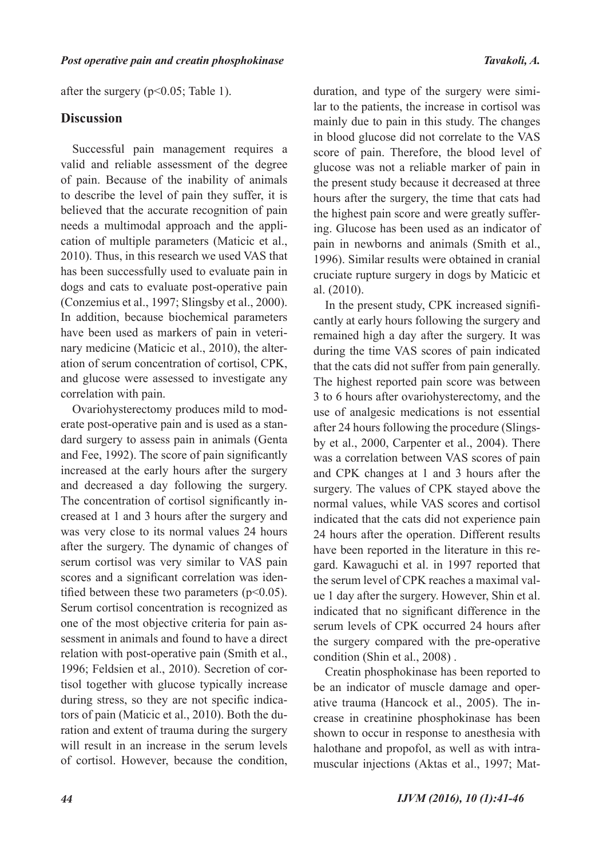after the surgery ( $p<0.05$ ; Table 1).

## **Discussion**

Successful pain management requires a valid and reliable assessment of the degree of pain. Because of the inability of animals to describe the level of pain they suffer, it is believed that the accurate recognition of pain needs a multimodal approach and the application of multiple parameters (Maticic et al., 2010). Thus, in this research we used VAS that has been successfully used to evaluate pain in dogs and cats to evaluate post-operative pain (Conzemius et al., 1997; Slingsby et al., 2000). In addition, because biochemical parameters have been used as markers of pain in veterinary medicine (Maticic et al., 2010), the alteration of serum concentration of cortisol, CPK, and glucose were assessed to investigate any correlation with pain.

Ovariohysterectomy produces mild to moderate post-operative pain and is used as a standard surgery to assess pain in animals (Genta and Fee, 1992). The score of pain significantly increased at the early hours after the surgery and decreased a day following the surgery. The concentration of cortisol significantly increased at 1 and 3 hours after the surgery and was very close to its normal values 24 hours after the surgery. The dynamic of changes of serum cortisol was very similar to VAS pain scores and a significant correlation was identified between these two parameters  $(p<0.05)$ . Serum cortisol concentration is recognized as one of the most objective criteria for pain assessment in animals and found to have a direct relation with post-operative pain (Smith et al., 1996; Feldsien et al., 2010). Secretion of cortisol together with glucose typically increase during stress, so they are not specific indicators of pain (Maticic et al., 2010). Both the duration and extent of trauma during the surgery will result in an increase in the serum levels of cortisol. However, because the condition,

duration, and type of the surgery were similar to the patients, the increase in cortisol was mainly due to pain in this study. The changes in blood glucose did not correlate to the VAS score of pain. Therefore, the blood level of glucose was not a reliable marker of pain in the present study because it decreased at three hours after the surgery, the time that cats had the highest pain score and were greatly suffering. Glucose has been used as an indicator of pain in newborns and animals (Smith et al., 1996). Similar results were obtained in cranial cruciate rupture surgery in dogs by Maticic et al. (2010).

In the present study, CPK increased significantly at early hours following the surgery and remained high a day after the surgery. It was during the time VAS scores of pain indicated that the cats did not suffer from pain generally. The highest reported pain score was between 3 to 6 hours after ovariohysterectomy, and the use of analgesic medications is not essential after 24 hours following the procedure (Slingsby et al., 2000, Carpenter et al., 2004). There was a correlation between VAS scores of pain and CPK changes at 1 and 3 hours after the surgery. The values of CPK stayed above the normal values, while VAS scores and cortisol indicated that the cats did not experience pain 24 hours after the operation. Different results have been reported in the literature in this regard. Kawaguchi et al. in 1997 reported that the serum level of CPK reaches a maximal value 1 day after the surgery. However, Shin et al. indicated that no significant difference in the serum levels of CPK occurred 24 hours after the surgery compared with the pre-operative condition (Shin et al., 2008) .

Creatin phosphokinase has been reported to be an indicator of muscle damage and operative trauma (Hancock et al., 2005). The increase in creatinine phosphokinase has been shown to occur in response to anesthesia with halothane and propofol, as well as with intramuscular injections (Aktas et al., 1997; Mat-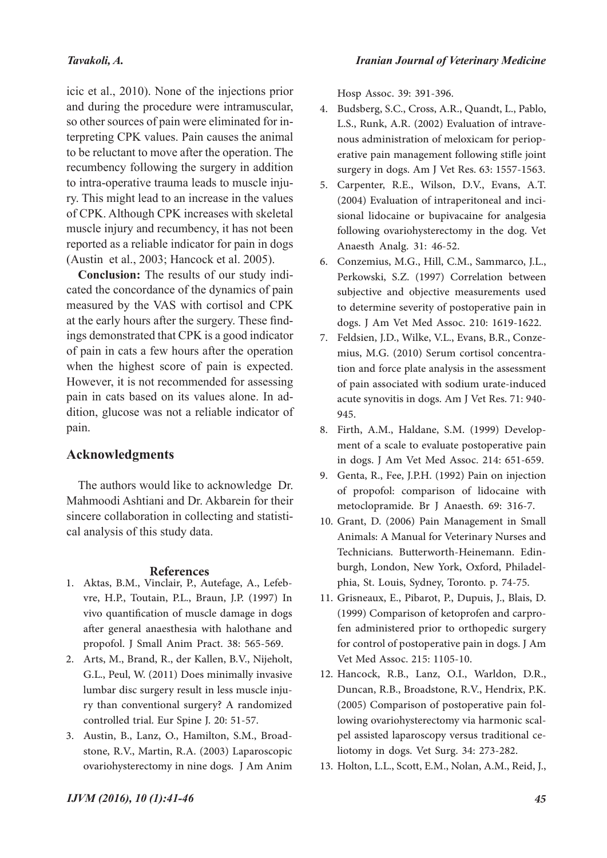# *Tavakoli, A.*

icic et al., 2010). None of the injections prior and during the procedure were intramuscular, so other sources of pain were eliminated for interpreting CPK values. Pain causes the animal to be reluctant to move after the operation. The recumbency following the surgery in addition to intra-operative trauma leads to muscle injury. This might lead to an increase in the values of CPK. Although CPK increases with skeletal muscle injury and recumbency, it has not been reported as a reliable indicator for pain in dogs (Austin et al., 2003; Hancock et al. 2005).

**Conclusion:** The results of our study indicated the concordance of the dynamics of pain measured by the VAS with cortisol and CPK at the early hours after the surgery. These findings demonstrated that CPK is a good indicator of pain in cats a few hours after the operation when the highest score of pain is expected. However, it is not recommended for assessing pain in cats based on its values alone. In addition, glucose was not a reliable indicator of pain.

# **Acknowledgments**

The authors would like to acknowledge Dr. Mahmoodi Ashtiani and Dr. Akbarein for their sincere collaboration in collecting and statistical analysis of this study data.

## **References**

- Aktas, B.M., Vinclair, P., Autefage, A., Lefeb-1. vre, H.P., Toutain, P.L., Braun, J.P. (1997) In vivo quantification of muscle damage in dogs after general anaesthesia with halothane and propofol. J Small Anim Pract. 38: 565-569.
- Arts, M., Brand, R., der Kallen, B.V., Nijeholt, 2. G.L., Peul, W. (2011) Does minimally invasive lumbar disc surgery result in less muscle injury than conventional surgery? A randomized controlled trial. Eur Spine J. 20: 51-57.
- stone, R.V., Martin, R.A. (2003) Laparoscopic ovariohysterectomy in nine dogs. J Am Anim 3. Austin, B., Lanz, O., Hamilton, S.M., Broad-

Hosp Assoc. 39: 391-396.

- 4. Budsberg, S.C., Cross, A.R., Quandt, L., Pablo, L.S., Runk, A.R. (2002) Evaluation of intrave- nous administration of meloxicam for periop- erative pain management following stifle joint surgery in dogs. Am J Vet Res. 63: 1557-1563.
- Carpenter, R.E., Wilson, D.V., Evans, A.T. 5. (2004) Evaluation of intraperitoneal and inci- sional lidocaine or bupivacaine for analgesia following ovariohysterectomy in the dog. Vet Anaesth Analg. 31: 46-52.
- 6. Conzemius, M.G., Hill, C.M., Sammarco, J.L., Perkowski, S.Z. (1997) Correlation between subjective and objective measurements used to determine severity of postoperative pain in dogs. J Am Vet Med Assoc. 210: 1619-1622.
- 7. Feldsien, J.D., Wilke, V.L., Evans, B.R., Conze-<br>mius, M.G. (2010) Serum cortisol concentra-<br>tion and force plate analysis in the assessment of pain associated with sodium urate-induced acute synovitis in dogs. Am J Vet Res. 71: 940- 945.
- ment of a scale to evaluate postoperative pain in dogs. J Am Vet Med Assoc. 214: 651-659. 8. Firth, A.M., Haldane, S.M. (1999) Develop-
- 9. Genta, R., Fee, J.P.H. (1992) Pain on injection of propofol: comparison of lidocaine with metoclopramide. Br J Anaesth. 69: 316-7.
- 10. Grant, D. (2006) Pain Management in Small Animals: A Manual for Veterinary Nurses and Technicians. Butterworth-Heinemann. Edin- burgh, London, New York, Oxford, Philadel- phia, St. Louis, Sydney, Toronto. p. 74-75.
- 11. Grisneaux, E., Pibarot, P., Dupuis, J., Blais, D. (1999) Comparison of ketoprofen and carpro- fen administered prior to orthopedic surgery for control of postoperative pain in dogs. J Am Vet Med Assoc. 215: 1105-10.
- Hancock, R.B., Lanz, O.I., Warldon, D.R., 12. Duncan, R.B., Broadstone, R.V., Hendrix, P.K. (2005) Comparison of postoperative pain fol- lowing ovariohysterectomy via harmonic scal- pel assisted laparoscopy versus traditional ce- liotomy in dogs. Vet Surg. 34: 273-282.
- 13. Holton, L.L., Scott, E.M., Nolan, A.M., Reid, J.,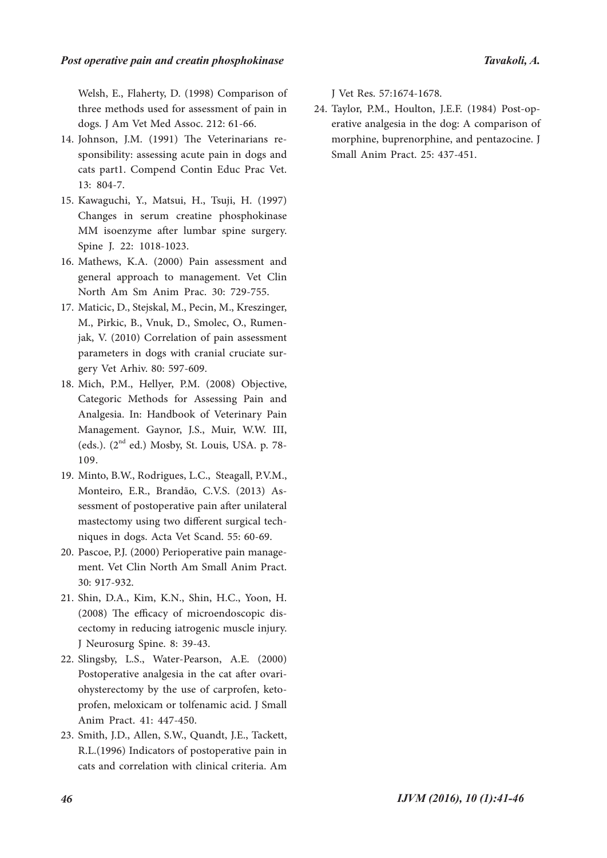Welsh, E., Flaherty, D. (1998) Comparison of three methods used for assessment of pain in dogs. J Am Vet Med Assoc. 212: 61-66.

- 14. Johnson, J.M. (1991) The Veterinarians responsibility: assessing acute pain in dogs and cats part1. Compend Contin Educ Prac Vet. 13: 804-7.
- 15. Kawaguchi, Y., Matsui, H., Tsuji, H. (1997) Changes in serum creatine phosphokinase MM isoenzyme after lumbar spine surgery. Spine J. 22: 1018-1023.
- 16. Mathews, K.A. (2000) Pain assessment and general approach to management. Vet Clin North Am Sm Anim Prac. 30: 729-755.
- 17. Maticic, D., Stejskal, M., Pecin, M., Kreszinger, M., Pirkic, B., Vnuk, D., Smolec, O., Rumen- jak, V. (2010) Correlation of pain assessment parameters in dogs with cranial cruciate surgery Vet Arhiv. 80: 597-609.
- 18. Mich, P.M., Hellyer, P.M. (2008) Objective, Categoric Methods for Assessing Pain and Analgesia. In: Handbook of Veterinary Pain Management. Gaynor, J.S., Muir, W.W. III, (eds.).  $(2<sup>nd</sup> ed.)$  Mosby, St. Louis, USA. p. 78-109.
- Minto, B.W., Rodrigues, L.C., Steagall, P.V.M., 19. Monteiro, E.R., Brandão, C.V.S. (2013) As- sessment of postoperative pain after unilateral mastectomy using two different surgical tech- niques in dogs. Acta Vet Scand. 55: 60-69.
- 20. Pascoe, P.J. (2000) Perioperative pain management. Vet Clin North Am Small Anim Pract. 30: 917-932.
- Shin, D.A., Kim, K.N., Shin, H.C., Yoon, H. 21. (2008) The efficacy of microendoscopic dis- cectomy in reducing iatrogenic muscle injury. J Neurosurg Spine. 8: 39-43.
- 22. Slingsby, L.S., Water-Pearson, A.E. (2000) Postoperative analgesia in the cat after ovariohysterectomy by the use of carprofen, ketoprofen, meloxicam or tolfenamic acid. J Small Anim Pract. 41: 447-450.
- 23. Smith, J.D., Allen, S.W., Quandt, J.E., Tackett, R.L.(1996) Indicators of postoperative pain in cats and correlation with clinical criteria. Am

J Vet Res. 57:1674-1678.

erative analgesia in the dog: A comparison of morphine, buprenorphine, and pentazocine. J Small Anim Pract. 25: 437-451. 24. Taylor, P.M., Houlton, J.E.F. (1984) Post-op-